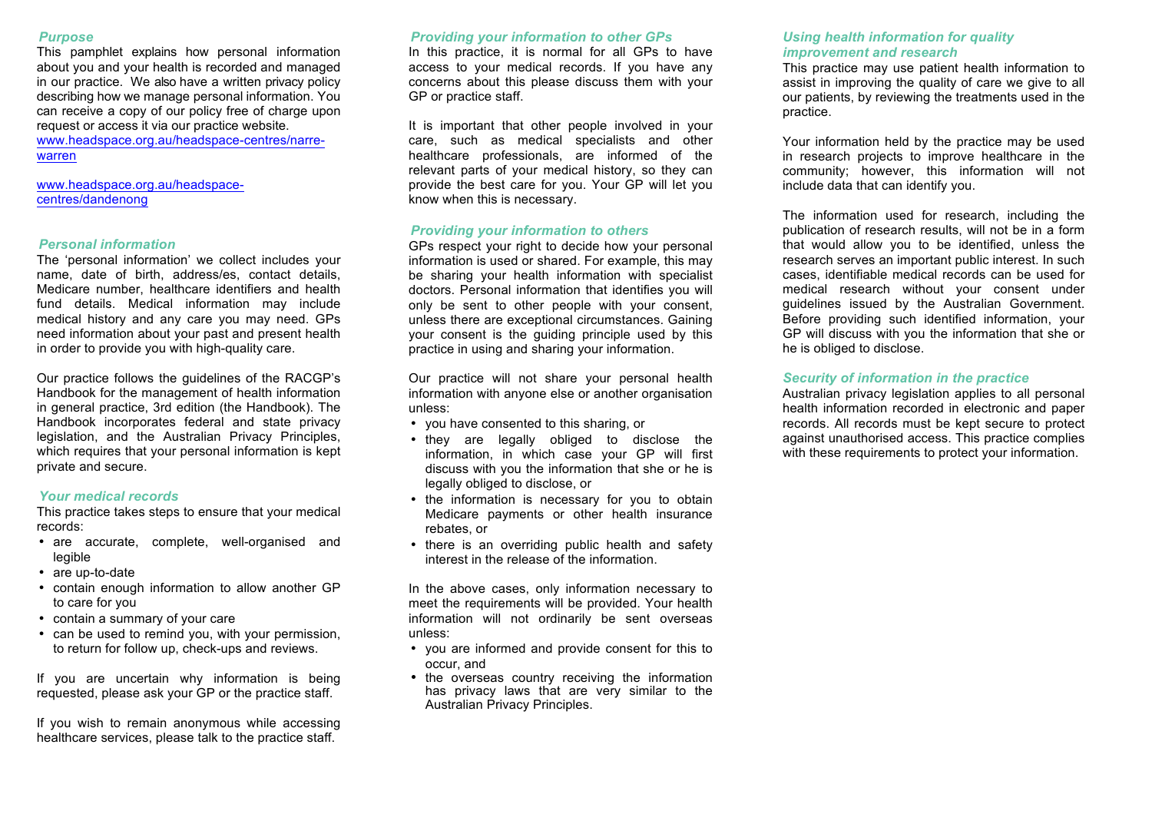#### *Purpose*

This pamphlet explains how personal information about you and your health is recorded and managed in our practice. We also have a written privacy policy describing how we manage personal information. You can receive a copy of our policy free of charge upon request or access it via our practice website. www.headspace.org.au/headspace-centres/narrewarren

www.headspace.org.au/headspacecentres/dandenong

## *Personal information*

The 'personal information' we collect includes your name, date of birth, address/es, contact details, Medicare number, healthcare identifiers and health fund details. Medical information may include medical history and any care you may need. GPs need information about your past and present health in order to provide you with high-quality care.

Our practice follows the guidelines of the RACGP's Handbook for the management of health information in general practice, 3rd edition (the Handbook). The Handbook incorporates federal and state privacy legislation, and the Australian Privacy Principles, which requires that your personal information is kept private and secure.

## *Your medical records*

This practice takes steps to ensure that your medical records:

- are accurate, complete, well-organised and legible
- are up-to-date
- contain enough information to allow another GP to care for you
- contain a summary of your care
- can be used to remind you, with your permission, to return for follow up, check-ups and reviews.

If you are uncertain why information is being requested, please ask your GP or the practice staff.

If you wish to remain anonymous while accessing healthcare services, please talk to the practice staff.

### *Providing your information to other GPs*

In this practice, it is normal for all GPs to have access to your medical records. If you have any concerns about this please discuss them with your GP or practice staff.

It is important that other people involved in your care, such as medical specialists and other healthcare professionals, are informed of the relevant parts of your medical history, so they can provide the best care for you. Your GP will let you know when this is necessary.

## *Providing your information to others*

GPs respect your right to decide how your personal information is used or shared. For example, this may be sharing your health information with specialist doctors. Personal information that identifies you will only be sent to other people with your consent, unless there are exceptional circumstances. Gaining your consent is the guiding principle used by this practice in using and sharing your information.

Our practice will not share your personal health information with anyone else or another organisation unless:

- you have consented to this sharing, or
- they are legally obliged to disclose the information, in which case your GP will first discuss with you the information that she or he is legally obliged to disclose, or
- the information is necessary for you to obtain Medicare payments or other health insurance rebates, or
- there is an overriding public health and safety interest in the release of the information.

In the above cases, only information necessary to meet the requirements will be provided. Your health information will not ordinarily be sent overseas unless:

- you are informed and provide consent for this to occur, and
- the overseas country receiving the information has privacy laws that are very similar to the Australian Privacy Principles.

# *Using health information for quality improvement and research*

This practice may use patient health information to assist in improving the quality of care we give to all our patients, by reviewing the treatments used in the practice.

Your information held by the practice may be used in research projects to improve healthcare in the community; however, this information will not include data that can identify you.

The information used for research, including the publication of research results, will not be in a form that would allow you to be identified, unless the research serves an important public interest. In such cases, identifiable medical records can be used for medical research without your consent under guidelines issued by the Australian Government. Before providing such identified information, your GP will discuss with you the information that she or he is obliged to disclose.

### *Security of information in the practice*

Australian privacy legislation applies to all personal health information recorded in electronic and paper records. All records must be kept secure to protect against unauthorised access. This practice complies with these requirements to protect your information.